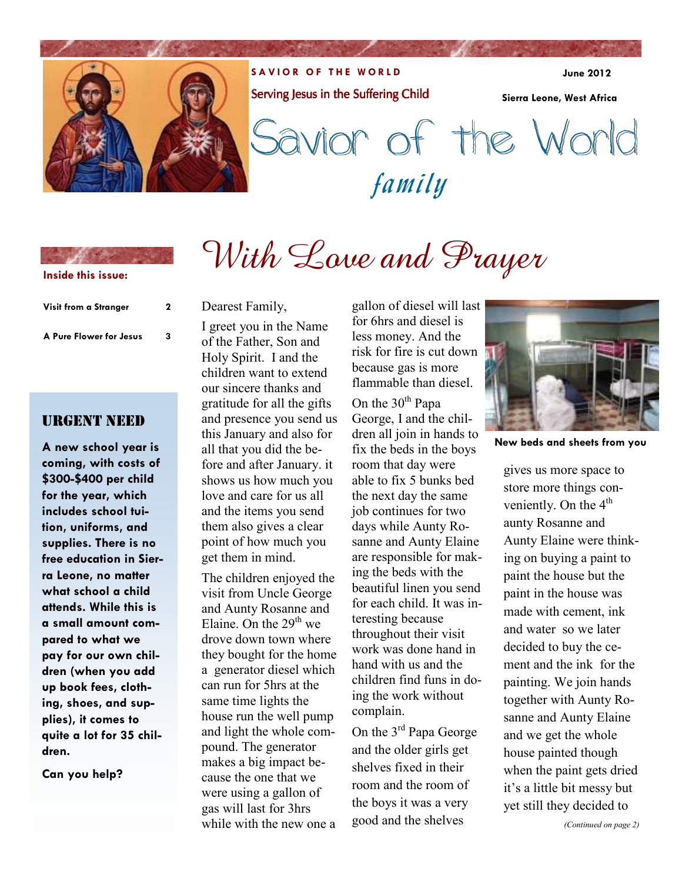

**SAVIOR OF THE WORLD** Serving Jesus in the Suffering Child

**June 2012** 

**Sierra Leone, West Africa** 

family Savior of the World

# **Inside this issue:**

| Visit from a Stranger<br>A Pure Flower for Jesus | 2 |
|--------------------------------------------------|---|
|                                                  | 3 |

URGENT NEED

**dren.** 

**Can you help?** 

**A new school year is coming, with costs of \$300-\$400 per child for the year, which includes school tuition, uniforms, and supplies. There is no free education in Sierra Leone, no matter what school a child attends. While this is a small amount compared to what we pay for our own children (when you add up book fees, clothing, shoes, and supplies), it comes to quite a lot for 35 chil-**

### Dearest Family,

I greet you in the Name of the Father, Son and Holy Spirit. I and the children want to extend our sincere thanks and gratitude for all the gifts and presence you send us this January and also for all that you did the before and after January. it shows us how much you love and care for us all and the items you send them also gives a clear point of how much you get them in mind.

The children enjoyed the visit from Uncle George and Aunty Rosanne and Elaine. On the  $29<sup>th</sup>$  we drove down town where they bought for the home a generator diesel which can run for 5hrs at the same time lights the house run the well pump and light the whole compound. The generator makes a big impact because the one that we were using a gallon of gas will last for 3hrs while with the new one a gallon of diesel will last for 6hrs and diesel is less money. And the risk for fire is cut down because gas is more flammable than diesel.

With Love and Prayer

On the  $30<sup>th</sup>$  Papa George, I and the children all join in hands to fix the beds in the boys room that day were able to fix 5 bunks bed the next day the same job continues for two days while Aunty Rosanne and Aunty Elaine are responsible for making the beds with the beautiful linen you send for each child. It was interesting because throughout their visit work was done hand in hand with us and the children find funs in doing the work without complain.

On the 3rd Papa George and the older girls get shelves fixed in their room and the room of the boys it was a very good and the shelves



**New beds and sheets from you** 

gives us more space to store more things conveniently. On the  $4<sup>th</sup>$ aunty Rosanne and Aunty Elaine were thinking on buying a paint to paint the house but the paint in the house was made with cement, ink and water so we later decided to buy the cement and the ink for the painting. We join hands together with Aunty Rosanne and Aunty Elaine and we get the whole house painted though when the paint gets dried it's a little bit messy but yet still they decided to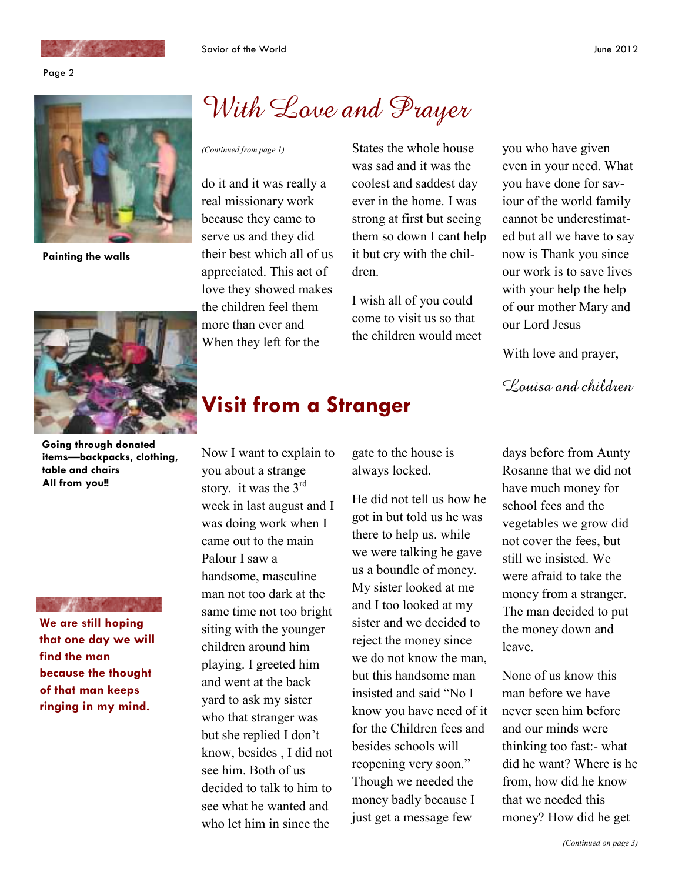



**Painting the walls** 



**Going through donated items—backpacks, clothing, table and chairs All from you!!** 

**We are still hoping that one day we will find the man because the thought of that man keeps ringing in my mind.** 

# With Love and Prayer

do it and it was really a real missionary work because they came to serve us and they did their best which all of us appreciated. This act of love they showed makes the children feel them more than ever and When they left for the

*(Continued from page 1)* States the whole house was sad and it was the coolest and saddest day ever in the home. I was strong at first but seeing them so down I cant help it but cry with the children.

> I wish all of you could come to visit us so that the children would meet

you who have given even in your need. What you have done for saviour of the world family cannot be underestimated but all we have to say now is Thank you since our work is to save lives with your help the help of our mother Mary and our Lord Jesus

With love and prayer,

Louisa and children

## **Visit from a Stranger**

Now I want to explain to you about a strange story. it was the  $3<sup>rd</sup>$ week in last august and I was doing work when I came out to the main Palour I saw a handsome, masculine man not too dark at the same time not too bright siting with the younger children around him playing. I greeted him and went at the back yard to ask my sister who that stranger was but she replied I don't know, besides , I did not see him. Both of us decided to talk to him to see what he wanted and who let him in since the

gate to the house is always locked.

He did not tell us how he got in but told us he was there to help us. while we were talking he gave us a boundle of money. My sister looked at me and I too looked at my sister and we decided to reject the money since we do not know the man, but this handsome man insisted and said "No I know you have need of it for the Children fees and besides schools will reopening very soon." Though we needed the money badly because I just get a message few

days before from Aunty Rosanne that we did not have much money for school fees and the vegetables we grow did not cover the fees, but still we insisted. We were afraid to take the money from a stranger. The man decided to put the money down and leave.

None of us know this man before we have never seen him before and our minds were thinking too fast:- what did he want? Where is he from, how did he know that we needed this money? How did he get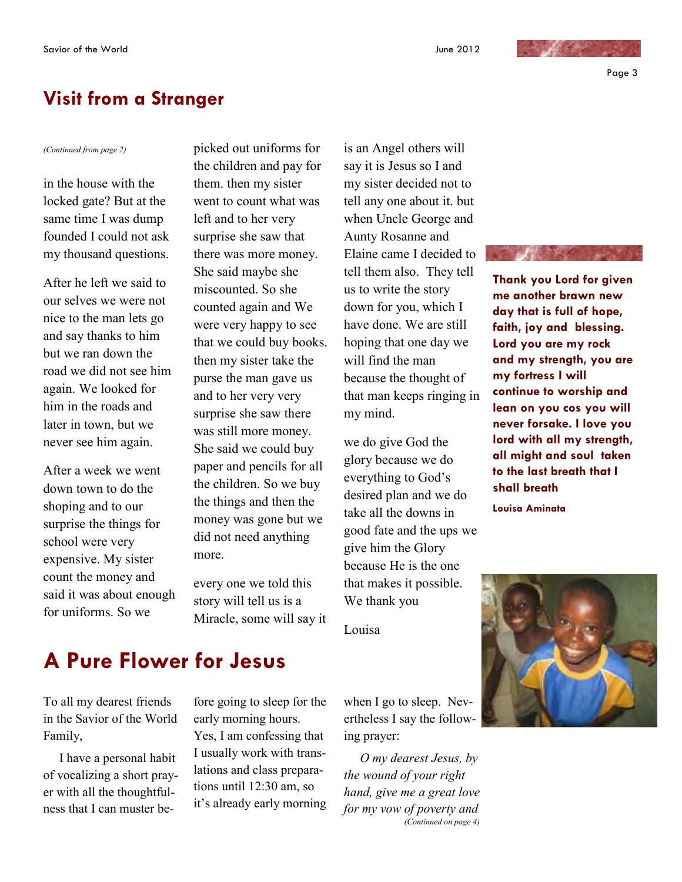### **Visit from a Stranger**

in the house with the locked gate? But at the same time I was dump founded I could not ask my thousand questions.

After he left we said to our selves we were not nice to the man lets go and say thanks to him but we ran down the road we did not see him again. We looked for him in the roads and later in town, but we never see him again.

After a week we went down town to do the shoping and to our surprise the things for school were very expensive. My sister count the money and said it was about enough for uniforms. So we

*(Continued from page 2)* picked out uniforms for the children and pay for them. then my sister went to count what was left and to her very surprise she saw that there was more money. She said maybe she miscounted. So she counted again and We were very happy to see that we could buy books. then my sister take the purse the man gave us and to her very very surprise she saw there was still more money. She said we could buy paper and pencils for all the children. So we buy the things and then the money was gone but we did not need anything more.

> every one we told this story will tell us is a Miracle, some will say it

is an Angel others will say it is Jesus so I and my sister decided not to tell any one about it. but when Uncle George and Aunty Rosanne and Elaine came I decided to tell them also. They tell us to write the story down for you, which I have done. We are still hoping that one day we will find the man because the thought of that man keeps ringing in my mind.

we do give God the glory because we do everything to God's desired plan and we do take all the downs in good fate and the ups we give him the Glory because He is the one that makes it possible. We thank you

Louisa

when I go to sleep. Nev-

*O my dearest Jesus, by the wound of your right hand, give me a great love for my vow of poverty and (Continued on page 4)* 



**Thank you Lord for given me another brawn new day that is full of hope, faith, joy and blessing. Lord you are my rock and my strength, you are my fortress I will continue to worship and lean on you cos you will never forsake. I love you lord with all my strength, all might and soul taken to the last breath that I shall breath** 

**Louisa Aminata** 



### **A Pure Flower for Jesus**

To all my dearest friends in the Savior of the World Family,

 I have a personal habit of vocalizing a short prayer with all the thoughtfulness that I can muster before going to sleep for the early morning hours. Yes, I am confessing that I usually work with translations and class preparations until 12:30 am, so it's already early morning

ertheless I say the following prayer: